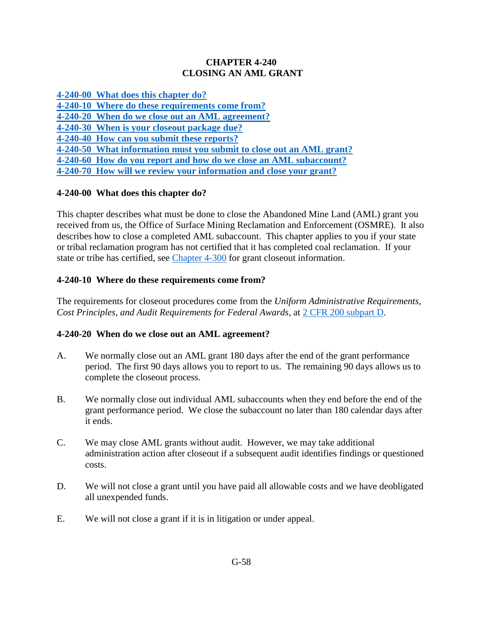### **CHAPTER 4-240 CLOSING AN AML GRANT**

**[4-240-00 What does this chapter do?](#page-0-0)**

**[4-240-10 Where do these requirements come from?](#page-0-1)**

**[4-240-20 When do we close out](#page-0-2) an AML agreement?**

**[4-240-30 When is your closeout package due?](#page-1-0)**

**[4-240-40 How can you submit these reports?](#page-1-1)** 

**[4-240-50 What information must you submit to close out an AML grant?](#page-1-2)** 

**[4-240-60 How do you report and how do we close an AML subaccount?](#page-2-0)**

**[4-240-70 How will we review your information and close your grant?](#page-2-1)**

# <span id="page-0-0"></span>**4-240-00 What does this chapter do?**

This chapter describes what must be done to close the Abandoned Mine Land (AML) grant you received from us, the Office of Surface Mining Reclamation and Enforcement (OSMRE). It also describes how to close a completed AML subaccount. This chapter applies to you if your state or tribal reclamation program has not certified that it has completed coal reclamation. If your state or tribe has certified, see [Chapter 4-300](https://www.osmre.gov/lrg/fam/4-300.pdf) for grant closeout information.

# <span id="page-0-1"></span>**4-240-10 Where do these requirements come from?**

The requirements for closeout procedures come from the *Uniform Administrative Requirements, Cost Principles, and Audit Requirements for Federal Awards*, at [2 CFR 200 subpart D.](http://www.ecfr.gov/cgi-bin/text-idx?SID=41d364d9e1c2f6509d7bf81e1ecbb0ef&mc=true&node=pt2.1.200&rgn=div5http://www.ecfr.gov/cgi-bin/text-idx?SID=41d364d9e1c2f6509d7bf81e1ecbb0ef&mc=true&node=pt2.1.200&rgn=div5)

# <span id="page-0-2"></span>**4-240-20 When do we close out an AML agreement?**

- A. We normally close out an AML grant 180 days after the end of the grant performance period. The first 90 days allows you to report to us. The remaining 90 days allows us to complete the closeout process.
- B. We normally close out individual AML subaccounts when they end before the end of the grant performance period. We close the subaccount no later than 180 calendar days after it ends.
- C. We may close AML grants without audit. However, we may take additional administration action after closeout if a subsequent audit identifies findings or questioned costs.
- D. We will not close a grant until you have paid all allowable costs and we have deobligated all unexpended funds.
- E. We will not close a grant if it is in litigation or under appeal.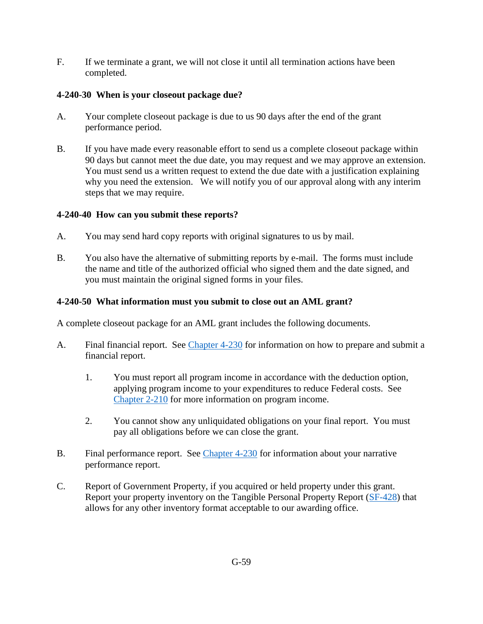F. If we terminate a grant, we will not close it until all termination actions have been completed.

# <span id="page-1-0"></span>**4-240-30 When is your closeout package due?**

- A. Your complete closeout package is due to us 90 days after the end of the grant performance period.
- B. If you have made every reasonable effort to send us a complete closeout package within 90 days but cannot meet the due date, you may request and we may approve an extension. You must send us a written request to extend the due date with a justification explaining why you need the extension. We will notify you of our approval along with any interim steps that we may require.

### <span id="page-1-1"></span>**4-240-40 How can you submit these reports?**

- A. You may send hard copy reports with original signatures to us by mail.
- B. You also have the alternative of submitting reports by e-mail. The forms must include the name and title of the authorized official who signed them and the date signed, and you must maintain the original signed forms in your files.

### <span id="page-1-2"></span>**4-240-50 What information must you submit to close out an AML grant?**

A complete closeout package for an AML grant includes the following documents.

- A. Final financial report. See [Chapter 4-230](https://www.osmre.gov/lrg/fam/4-230.pdf) for information on how to prepare and submit a financial report.
	- 1. You must report all program income in accordance with the deduction option, applying program income to your expenditures to reduce Federal costs. See [Chapter 2-210](https://www.osmre.gov/lrg/fam/2-210.pdf) for more information on program income.
	- 2. You cannot show any unliquidated obligations on your final report. You must pay all obligations before we can close the grant.
- B. Final performance report. See [Chapter 4-230](https://www.osmre.gov/lrg/fam/4-230.pdf) for information about your narrative performance report.
- C. Report of Government Property, if you acquired or held property under this grant. Report your property inventory on the Tangible Personal Property Report [\(SF-428\)](https://www.whitehouse.gov/omb/grants_formshttps:/www.whitehouse.gov/omb/grants_forms) that allows for any other inventory format acceptable to our awarding office.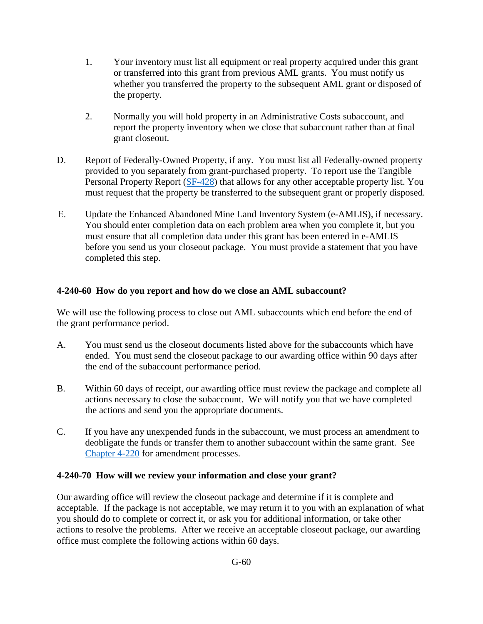- 1. Your inventory must list all equipment or real property acquired under this grant or transferred into this grant from previous AML grants. You must notify us whether you transferred the property to the subsequent AML grant or disposed of the property.
- 2. Normally you will hold property in an Administrative Costs subaccount, and report the property inventory when we close that subaccount rather than at final grant closeout.
- D. Report of Federally-Owned Property, if any. You must list all Federally-owned property provided to you separately from grant-purchased property. To report use the Tangible Personal Property Report [\(SF-428\)](https://www.whitehouse.gov/omb/grants_formshttps:/www.whitehouse.gov/omb/grants_forms) that allows for any other acceptable property list. You must request that the property be transferred to the subsequent grant or properly disposed.
- E. Update the Enhanced Abandoned Mine Land Inventory System (e-AMLIS), if necessary. You should enter completion data on each problem area when you complete it, but you must ensure that all completion data under this grant has been entered in e-AMLIS before you send us your closeout package. You must provide a statement that you have completed this step.

# <span id="page-2-0"></span>**4-240-60 How do you report and how do we close an AML subaccount?**

We will use the following process to close out AML subaccounts which end before the end of the grant performance period.

- A. You must send us the closeout documents listed above for the subaccounts which have ended. You must send the closeout package to our awarding office within 90 days after the end of the subaccount performance period.
- B. Within 60 days of receipt, our awarding office must review the package and complete all actions necessary to close the subaccount. We will notify you that we have completed the actions and send you the appropriate documents.
- C. If you have any unexpended funds in the subaccount, we must process an amendment to deobligate the funds or transfer them to another subaccount within the same grant. See [Chapter 4-220](https://www.osmre.gov/lrg/fam/4-220.pdf) for amendment processes.

# <span id="page-2-1"></span>**4-240-70 How will we review your information and close your grant?**

Our awarding office will review the closeout package and determine if it is complete and acceptable. If the package is not acceptable, we may return it to you with an explanation of what you should do to complete or correct it, or ask you for additional information, or take other actions to resolve the problems. After we receive an acceptable closeout package, our awarding office must complete the following actions within 60 days.